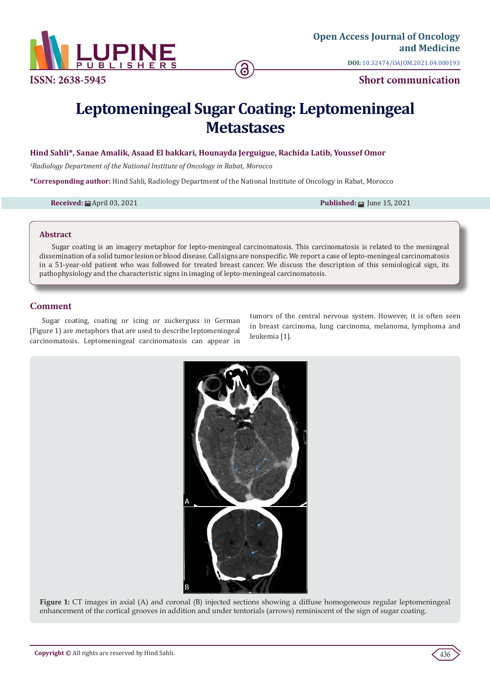

**DOI:** [10.32474/OAJOM.2021.04.0001](http://dx.doi.org/10.32474/OAJOM.2021.04.000193)93

# **Leptomeningeal Sugar Coating: Leptomeningeal Metastases**

### **Hind Sahli\*, Sanae Amalik, Asaad El bakkari, Hounayda Jerguigue, Rachida Latib, Youssef Omor**

*1 Radiology Department of the National Institute of Oncology in Rabat, Morocco*

**\*Corresponding author:** Hind Sahli, Radiology Department of the National Institute of Oncology in Rabat, Morocco

**Received:** ■ April 03, 2021 **Published:** ■ June 15, 2021

#### **Abstract**

Sugar coating is an imagery metaphor for lepto-meningeal carcinomatosis. This carcinomatosis is related to the meningeal dissemination of a solid tumor lesion or blood disease. Call signs are nonspecific. We report a case of lepto-meningeal carcinomatosis in a 51-year-old patient who was followed for treated breast cancer. We discuss the description of this semiological sign, its pathophysiology and the characteristic signs in imaging of lepto-meningeal carcinomatosis.

### **Comment**

Sugar coating, coating or icing or zuckerguss in German (Figure 1) are metaphors that are used to describe leptomeningeal carcinomatosis. Leptomeningeal carcinomatosis can appear in

tumors of the central nervous system. However, it is often seen in breast carcinoma, lung carcinoma, melanoma, lymphoma and leukemia [1].



**Figure 1:** CT images in axial (A) and coronal (B) injected sections showing a diffuse homogeneous regular leptomeningeal enhancement of the cortical grooves in addition and under tentorials (arrows) reminiscent of the sign of sugar coating.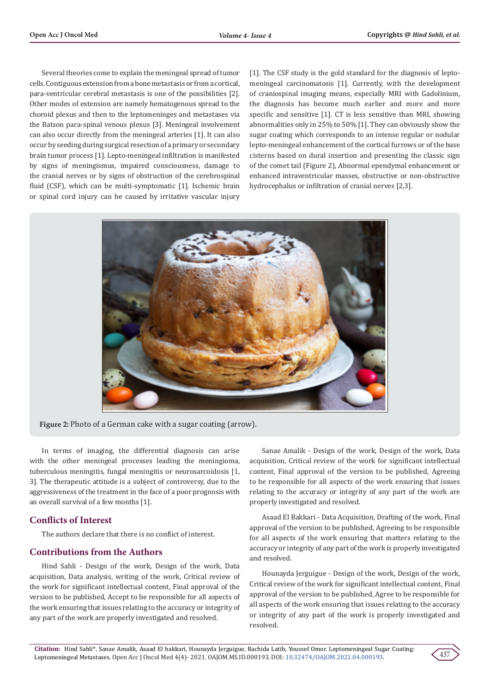Several theories come to explain the meningeal spread of tumor cells. Contiguous extension from a bone metastasis or from a cortical, para-ventricular cerebral metastasis is one of the possibilities [2]. Other modes of extension are namely hematogenous spread to the choroid plexus and then to the leptomeninges and metastases via the Batson para-spinal venous plexus [3]. Meningeal involvement can also occur directly from the meningeal arteries [1]. It can also occur by seeding during surgical resection of a primary or secondary brain tumor process [1]. Lepto-meningeal infiltration is manifested by signs of meningismus, impaired consciousness, damage to the cranial nerves or by signs of obstruction of the cerebrospinal fluid (CSF), which can be multi-symptomatic [1]. Ischemic brain or spinal cord injury can be caused by irritative vascular injury

[1]. The CSF study is the gold standard for the diagnosis of leptomeningeal carcinomatosis [1]. Currently, with the development of craniospinal imaging means, especially MRI with Gadolinium, the diagnosis has become much earlier and more and more specific and sensitive [1]. CT is less sensitive than MRI, showing abnormalities only in 25% to 50% [1]. They can obviously show the sugar coating which corresponds to an intense regular or nodular lepto-meningeal enhancement of the cortical furrows or of the base cisterns based on dural insertion and presenting the classic sign of the comet tail (Figure 2), Abnormal ependymal enhancement or enhanced intraventricular masses, obstructive or non-obstructive hydrocephalus or infiltration of cranial nerves [2,3].



**Figure 2:** Photo of a German cake with a sugar coating (arrow).

In terms of imaging, the differential diagnosis can arise with the other meningeal processes leading the meningioma, tuberculous meningitis, fungal meningitis or neurosarcoidosis [1, 3]. The therapeutic attitude is a subject of controversy, due to the aggressiveness of the treatment in the face of a poor prognosis with an overall survival of a few months [1].

# **Conflicts of Interest**

The authors declare that there is no conflict of interest.

# **Contributions from the Authors**

Hind Sahli - Design of the work, Design of the work, Data acquisition, Data analysis, writing of the work, Critical review of the work for significant intellectual content, Final approval of the version to be published, Accept to be responsible for all aspects of the work ensuring that issues relating to the accuracy or integrity of any part of the work are properly investigated and resolved.

Sanae Amalik - Design of the work, Design of the work, Data acquisition, Critical review of the work for significant intellectual content, Final approval of the version to be published, Agreeing to be responsible for all aspects of the work ensuring that issues relating to the accuracy or integrity of any part of the work are properly investigated and resolved.

Asaad El Bakkari - Data Acquisition, Drafting of the work, Final approval of the version to be published, Agreeing to be responsible for all aspects of the work ensuring that matters relating to the accuracy or integrity of any part of the work is properly investigated and resolved.

Hounayda Jerguigue - Design of the work, Design of the work, Critical review of the work for significant intellectual content, Final approval of the version to be published, Agree to be responsible for all aspects of the work ensuring that issues relating to the accuracy or integrity of any part of the work is properly investigated and resolved.